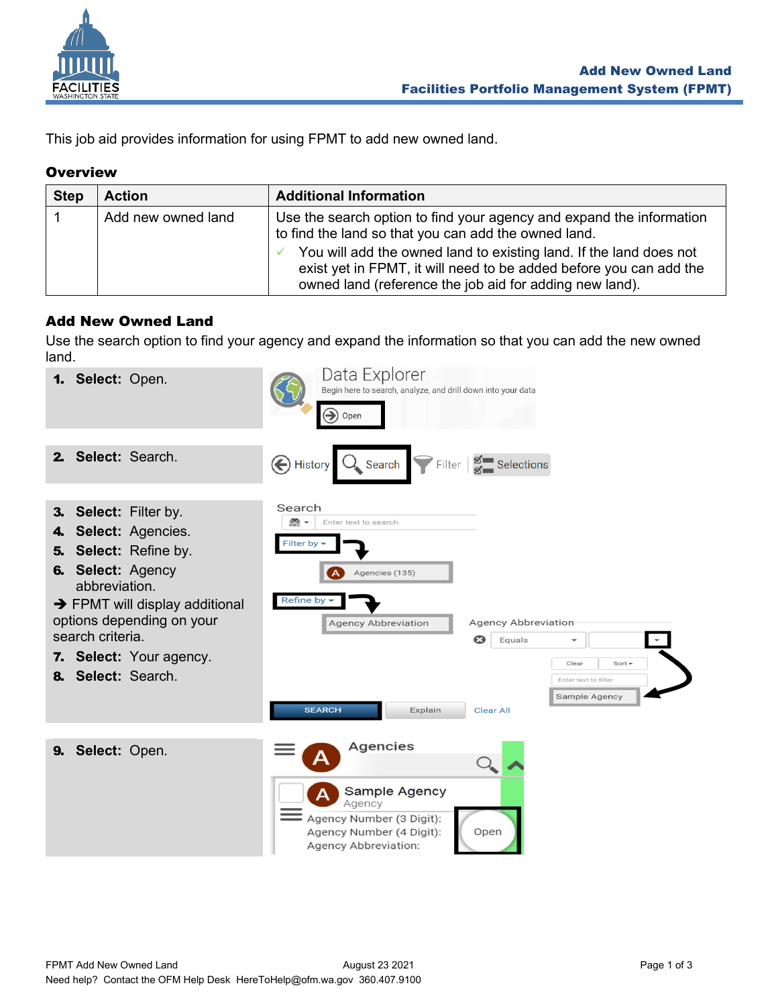

This job aid provides information for using FPMT to add new owned land.

## **Overview**

| <b>Step</b> | <b>Action</b>      | <b>Additional Information</b>                                                                                                                                                                                                                                                                                                       |
|-------------|--------------------|-------------------------------------------------------------------------------------------------------------------------------------------------------------------------------------------------------------------------------------------------------------------------------------------------------------------------------------|
|             | Add new owned land | Use the search option to find your agency and expand the information<br>to find the land so that you can add the owned land.<br>You will add the owned land to existing land. If the land does not<br>exist yet in FPMT, it will need to be added before you can add the<br>owned land (reference the job aid for adding new land). |

## Add New Owned Land

Use the search option to find your agency and expand the information so that you can add the new owned land.

|                | 1. Select: Open.                                                                                                                                                                                                                                    |                                                                          | Data Explorer<br>Begin here to search, analyze, and drill down into your data<br>$\bigodot$ Open        |                                                                            |                                                               |
|----------------|-----------------------------------------------------------------------------------------------------------------------------------------------------------------------------------------------------------------------------------------------------|--------------------------------------------------------------------------|---------------------------------------------------------------------------------------------------------|----------------------------------------------------------------------------|---------------------------------------------------------------|
| $2-$           | Select: Search.                                                                                                                                                                                                                                     |                                                                          | History Q Search Filter # Selections                                                                    |                                                                            |                                                               |
| 4.<br>5.<br>8. | 3. Select: Filter by.<br>Select: Agencies.<br>Select: Refine by.<br>6. Select: Agency<br>abbreviation.<br>$\rightarrow$ FPMT will display additional<br>options depending on your<br>search criteria.<br>7. Select: Your agency.<br>Select: Search. | Search<br>$rac{\text{O}}{\text{ABC}}$ -<br><b>Filter by</b><br>Refine by | Enter text to search<br>Agencies (135)<br><b>Agency Abbreviation</b><br><b>SEARCH</b><br>Explain        | Agency Abbreviation<br>$\boldsymbol{\Omega}$<br>Equals<br><b>Clear All</b> | Clear<br>Sort $\sim$<br>Enter text to filter<br>Sample Agency |
| 9.             | Select: Open.                                                                                                                                                                                                                                       |                                                                          | Agencies                                                                                                |                                                                            |                                                               |
|                |                                                                                                                                                                                                                                                     |                                                                          | Sample Agency<br>Agency<br>Agency Number (3 Digit):<br>Agency Number (4 Digit):<br>Agency Abbreviation: | Open                                                                       |                                                               |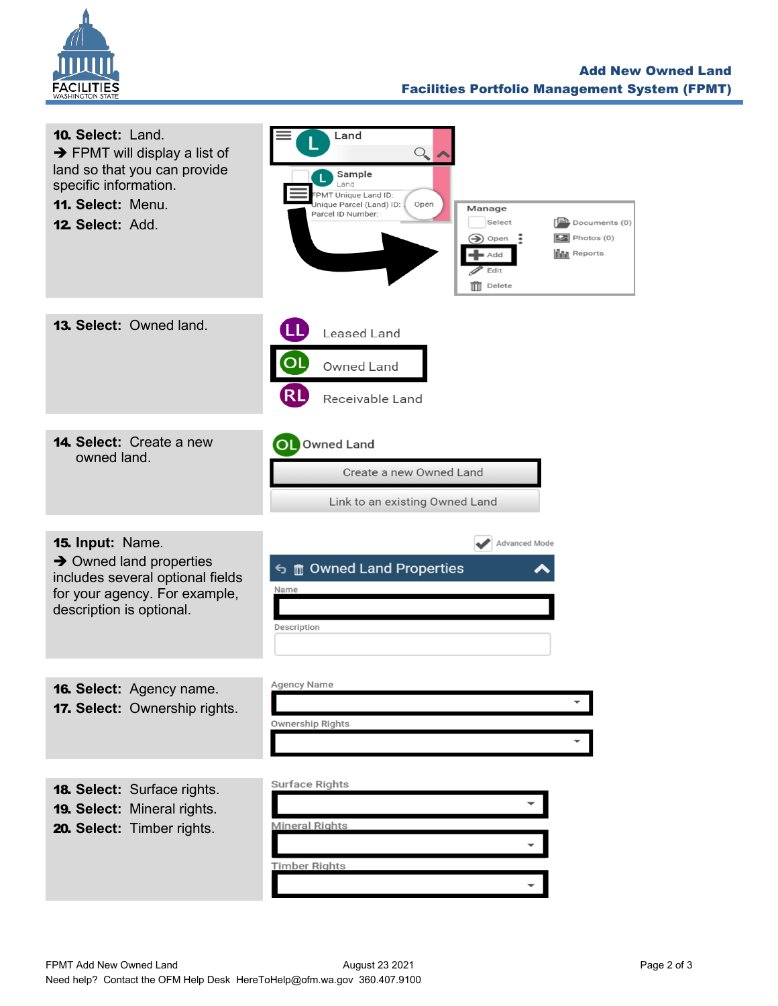

| 10. Select: Land.<br>$\rightarrow$ FPMT will display a list of<br>land so that you can provide<br>specific information.<br>11. Select: Menu.<br>12. Select: Add. | Land<br>$\mathcal{Q}_{\!\scriptscriptstyle\bullet}$<br>Sample<br>Land<br>PMT Unique Land ID:<br>Jnique Parcel (Land) ID:<br>Open<br>Manage<br>Parcel ID Number:<br>Documents (0)<br>Select<br>$\boxed{2}$ Photos (0)<br>$\implies$ Open<br><b>III</b> Reports<br>■ Add<br>Edit<br>$\overline{\mathbb{m}}$ Delete |
|------------------------------------------------------------------------------------------------------------------------------------------------------------------|------------------------------------------------------------------------------------------------------------------------------------------------------------------------------------------------------------------------------------------------------------------------------------------------------------------|
| 13. Select: Owned land.                                                                                                                                          | Leased Land<br>Owned Land<br><b>RL</b><br>Receivable Land                                                                                                                                                                                                                                                        |
| 14. Select: Create a new<br>owned land.                                                                                                                          | OL Owned Land<br>Create a new Owned Land<br>Link to an existing Owned Land                                                                                                                                                                                                                                       |
| 15. Input: Name.<br>$\rightarrow$ Owned land properties<br>includes several optional fields<br>for your agency. For example,<br>description is optional.         | Advanced Mode<br><b>&lt; fourned Land Properties</b><br>Name<br>Description                                                                                                                                                                                                                                      |
| 16. Select: Agency name.<br>17. Select: Ownership rights.                                                                                                        | <b>Agency Name</b><br>Ownership Rights                                                                                                                                                                                                                                                                           |
| <b>18. Select: Surface rights.</b><br>19. Select: Mineral rights.<br>20. Select: Timber rights.                                                                  | Surface Rights<br><b>Mineral Rights</b><br><b>Timber Rights</b>                                                                                                                                                                                                                                                  |